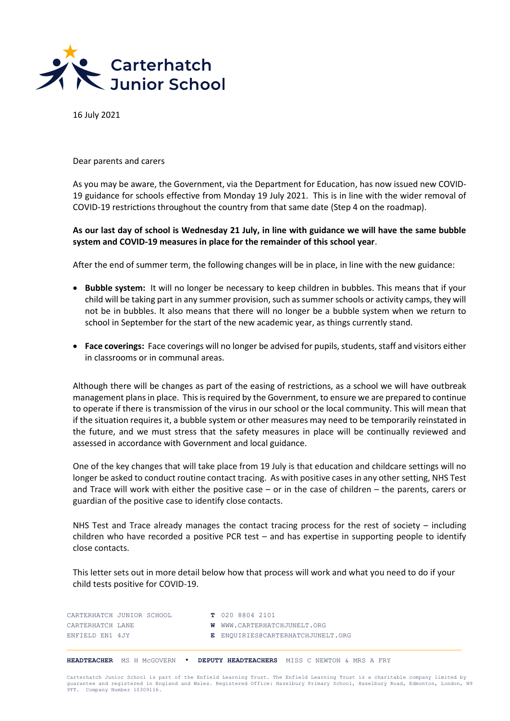

16 July 2021

Dear parents and carers

As you may be aware, the Government, via the Department for Education, has now issued new COVID-19 guidance for schools effective from Monday 19 July 2021. This is in line with the wider removal of COVID-19 restrictions throughout the country from that same date (Step 4 on the roadmap).

## **As our last day of school is Wednesday 21 July, in line with guidance we will have the same bubble system and COVID-19 measures in place for the remainder of this school year**.

After the end of summer term, the following changes will be in place, in line with the new guidance:

- **Bubble system:** It will no longer be necessary to keep children in bubbles. This means that if your child will be taking part in any summer provision, such as summer schools or activity camps, they will not be in bubbles. It also means that there will no longer be a bubble system when we return to school in September for the start of the new academic year, as things currently stand.
- **Face coverings:** Face coverings will no longer be advised for pupils, students, staff and visitors either in classrooms or in communal areas.

Although there will be changes as part of the easing of restrictions, as a school we will have outbreak management plans in place. This isrequired by the Government, to ensure we are prepared to continue to operate if there is transmission of the virus in our school or the local community. This will mean that if the situation requires it, a bubble system or other measures may need to be temporarily reinstated in the future, and we must stress that the safety measures in place will be continually reviewed and assessed in accordance with Government and local guidance.

One of the key changes that will take place from 19 July is that education and childcare settings will no longer be asked to conduct routine contact tracing. As with positive cases in any other setting, NHS Test and Trace will work with either the positive case – or in the case of children – the parents, carers or guardian of the positive case to identify close contacts.

NHS Test and Trace already manages the contact tracing process for the rest of society – including children who have recorded a positive PCR test – and has expertise in supporting people to identify close contacts.

This letter sets out in more detail below how that process will work and what you need to do if your child tests positive for COVID-19.

| CARTERHATCH JUNIOR SCHOOL | T 020 8804 2101                    |
|---------------------------|------------------------------------|
| CARTERHATCH LANE          | <b>W</b> WWW.CARTERHATCHJUNELT.ORG |
| ENFIELD EN1 4JY           | E ENQUIRIES@CARTERHATCHJUNELT.ORG  |

**HEADTEACHER** MS H McGOVERN • **DEPUTY HEADTEACHERS** MISS C NEWTON & MRS A FRY

Carterhatch Junior School is part of the Enfield Learning Trust. The Enfield Learning Trust is a charitable company limited by guarantee and registered in England and Wales. Registered Office: Hazelbury Primary School, Haselbury Road, Edmonton, London, N9 9TT. Company Number 10309116.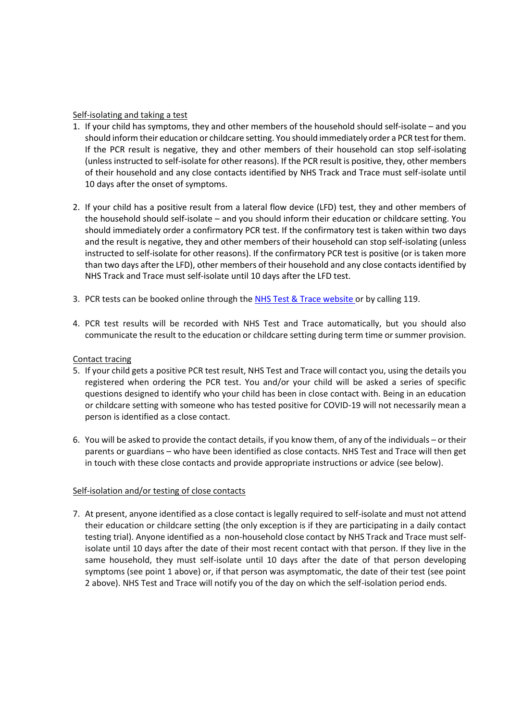## Self-isolating and taking a test

- 1. If your child has symptoms, they and other members of the household should self-isolate and you should inform their education or childcare setting. You should immediately order a PCR test for them. If the PCR result is negative, they and other members of their household can stop self-isolating (unless instructed to self-isolate for other reasons). If the PCR result is positive, they, other members of their household and any close contacts identified by NHS Track and Trace must self-isolate until 10 days after the onset of symptoms.
- 2. If your child has a positive result from a lateral flow device (LFD) test, they and other members of the household should self-isolate – and you should inform their education or childcare setting. You should immediately order a confirmatory PCR test. If the confirmatory test is taken within two days and the result is negative, they and other members of their household can stop self-isolating (unless instructed to self-isolate for other reasons). If the confirmatory PCR test is positive (or is taken more than two days after the LFD), other members of their household and any close contacts identified by NHS Track and Trace must self-isolate until 10 days after the LFD test.
- 3. PCR tests can be booked online through the NHS [Test & Trace website](https://www.nhs.uk/conditions/coronavirus-covid-19/testing/) or by calling 119.
- 4. PCR test results will be recorded with NHS Test and Trace automatically, but you should also communicate the result to the education or childcare setting during term time or summer provision.

## Contact tracing

- 5. If your child gets a positive PCR test result, NHS Test and Trace will contact you, using the details you registered when ordering the PCR test. You and/or your child will be asked a series of specific questions designed to identify who your child has been in close contact with. Being in an education or childcare setting with someone who has tested positive for COVID-19 will not necessarily mean a person is identified as a close contact.
- 6. You will be asked to provide the contact details, if you know them, of any of the individuals or their parents or guardians – who have been identified as close contacts. NHS Test and Trace will then get in touch with these close contacts and provide appropriate instructions or advice (see below).

## Self-isolation and/or testing of close contacts

7. At present, anyone identified as a close contact is legally required to self-isolate and must not attend their education or childcare setting (the only exception is if they are participating in a daily contact testing trial). Anyone identified as a non-household close contact by NHS Track and Trace must selfisolate until 10 days after the date of their most recent contact with that person. If they live in the same household, they must self-isolate until 10 days after the date of that person developing symptoms (see point 1 above) or, if that person was asymptomatic, the date of their test (see point 2 above). NHS Test and Trace will notify you of the day on which the self-isolation period ends.